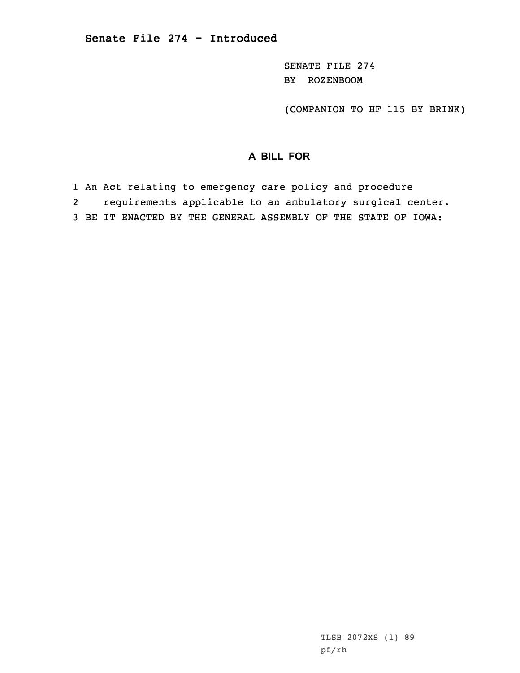SENATE FILE 274 BY ROZENBOOM

(COMPANION TO HF 115 BY BRINK)

## **A BILL FOR**

1 An Act relating to emergency care policy and procedure

2requirements applicable to an ambulatory surgical center.

3 BE IT ENACTED BY THE GENERAL ASSEMBLY OF THE STATE OF IOWA: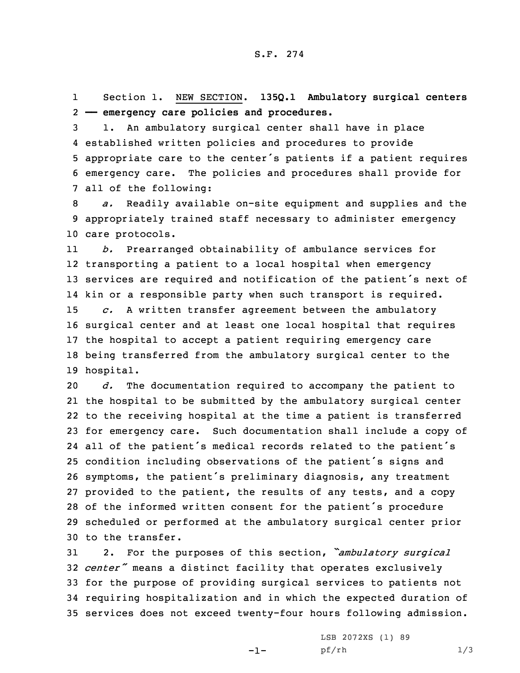1 Section 1. NEW SECTION. **135Q.1 Ambulatory surgical centers** 2 **—— emergency care policies and procedures.**

 1. An ambulatory surgical center shall have in place established written policies and procedures to provide appropriate care to the center's patients if <sup>a</sup> patient requires emergency care. The policies and procedures shall provide for all of the following:

8 *a.* Readily available on-site equipment and supplies and the 9 appropriately trained staff necessary to administer emergency 10 care protocols.

11 *b.* Prearranged obtainability of ambulance services for transporting <sup>a</sup> patient to <sup>a</sup> local hospital when emergency services are required and notification of the patient's next of kin or <sup>a</sup> responsible party when such transport is required. *c.* <sup>A</sup> written transfer agreement between the ambulatory surgical center and at least one local hospital that requires the hospital to accept <sup>a</sup> patient requiring emergency care being transferred from the ambulatory surgical center to the hospital.

 *d.* The documentation required to accompany the patient to the hospital to be submitted by the ambulatory surgical center to the receiving hospital at the time <sup>a</sup> patient is transferred for emergency care. Such documentation shall include <sup>a</sup> copy of all of the patient's medical records related to the patient's condition including observations of the patient's signs and symptoms, the patient's preliminary diagnosis, any treatment provided to the patient, the results of any tests, and <sup>a</sup> copy of the informed written consent for the patient's procedure scheduled or performed at the ambulatory surgical center prior to the transfer.

 2. For the purposes of this section, *"ambulatory surgical center"* means <sup>a</sup> distinct facility that operates exclusively for the purpose of providing surgical services to patients not requiring hospitalization and in which the expected duration of services does not exceed twenty-four hours following admission.

-1-

LSB 2072XS (1) 89 pf/rh 1/3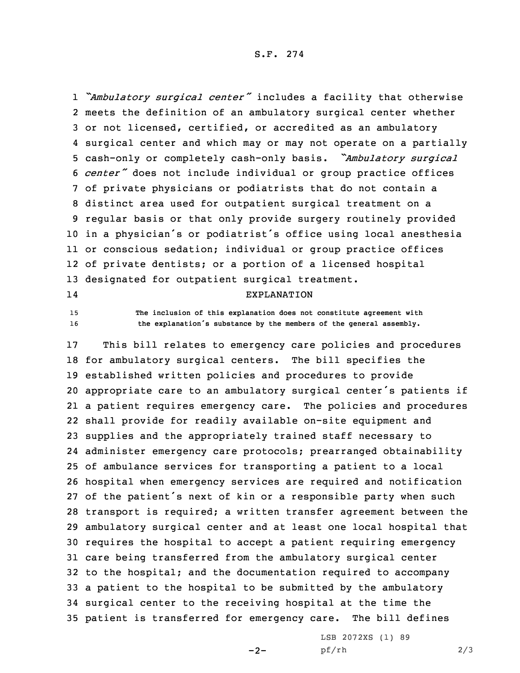S.F. 274

 *"Ambulatory surgical center"* includes <sup>a</sup> facility that otherwise meets the definition of an ambulatory surgical center whether or not licensed, certified, or accredited as an ambulatory surgical center and which may or may not operate on <sup>a</sup> partially cash-only or completely cash-only basis. *"Ambulatory surgical center"* does not include individual or group practice offices of private physicians or podiatrists that do not contain <sup>a</sup> distinct area used for outpatient surgical treatment on <sup>a</sup> regular basis or that only provide surgery routinely provided in <sup>a</sup> physician's or podiatrist's office using local anesthesia or conscious sedation; individual or group practice offices of private dentists; or <sup>a</sup> portion of <sup>a</sup> licensed hospital designated for outpatient surgical treatment. 14EXPLANATION

15 **The inclusion of this explanation does not constitute agreement with** <sup>16</sup> **the explanation's substance by the members of the general assembly.**

 This bill relates to emergency care policies and procedures for ambulatory surgical centers. The bill specifies the established written policies and procedures to provide appropriate care to an ambulatory surgical center's patients if <sup>a</sup> patient requires emergency care. The policies and procedures shall provide for readily available on-site equipment and supplies and the appropriately trained staff necessary to administer emergency care protocols; prearranged obtainability of ambulance services for transporting <sup>a</sup> patient to <sup>a</sup> local hospital when emergency services are required and notification of the patient's next of kin or <sup>a</sup> responsible party when such transport is required; <sup>a</sup> written transfer agreement between the ambulatory surgical center and at least one local hospital that requires the hospital to accept <sup>a</sup> patient requiring emergency care being transferred from the ambulatory surgical center to the hospital; and the documentation required to accompany <sup>a</sup> patient to the hospital to be submitted by the ambulatory surgical center to the receiving hospital at the time the patient is transferred for emergency care. The bill defines

 $-2-$ 

LSB 2072XS (1) 89 pf/rh 2/3